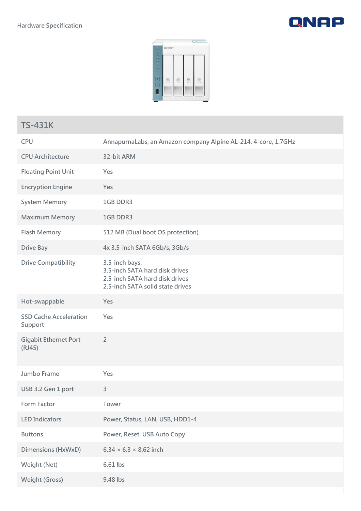**Weight (Gross) 9.48 lbs**





## **TS-431K CPU AnnapurnaLabs, an Amazon company Alpine AL-214, 4-core, 1.7GHz CPU Architecture 32-bit ARM Floating Point Unit Yes Encryption Engine Yes System Memory 1GB DDR3 Maximum Memory 1GB DDR3 Flash Memory 512 MB (Dual boot OS protection) Drive Bay 4x 3.5-inch SATA 6Gb/s, 3Gb/s Drive Compatibility 3.5-inch bays: 3.5-inch SATA hard disk drives 2.5-inch SATA hard disk drives 2.5-inch SATA solid state drives Hot-swappable Yes SSD Cache Acceleration Support Yes Gigabit Ethernet Port (RJ45) 2 Jumbo Frame Yes USB 3.2 Gen 1 port 3 Form Factor Tower LED Indicators Power, Status, LAN, USB, HDD1-4 Buttons Power, Reset, USB Auto Copy Dimensions (HxWxD) 6.34 × 6.3 × 8.62 inch Weight (Net) 6.61 lbs**